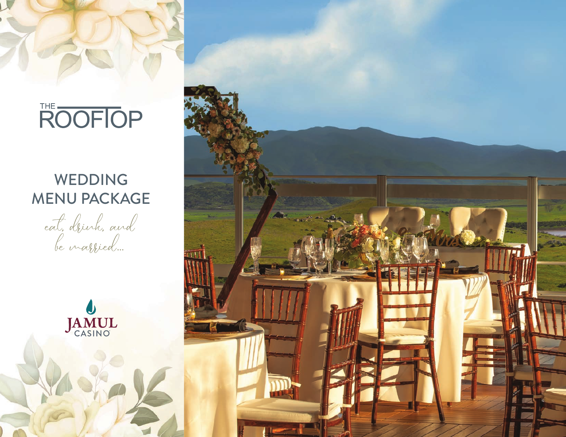# ROOFIOP

### WEDDING MENU PACKAGE

cat, drink, and



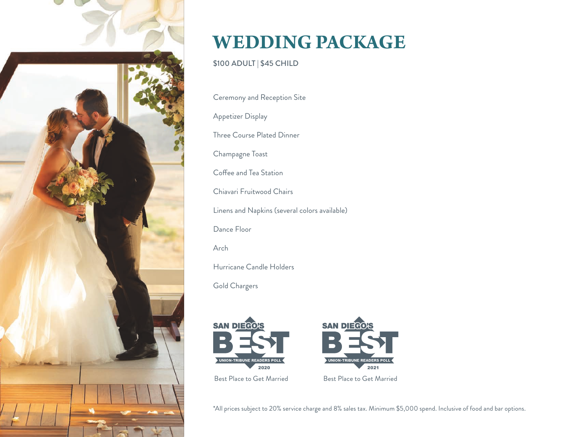

### **WEDDING PACKAGE**

\$100 ADULT | \$45 CHILD

Ceremony and Reception Site

Appetizer Display

Three Course Plated Dinner

Champagne Toast

Coffee and Tea Station

Chiavari Fruitwood Chairs

Linens and Napkins (several colors available)

Dance Floor

Arch

Hurricane Candle Holders

Gold Chargers



\*All prices subject to 20% service charge and 8% sales tax. Minimum \$5,000 spend. Inclusive of food and bar options.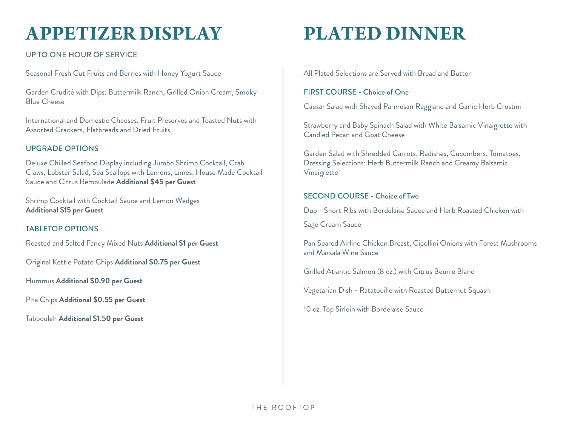### **APPETIZER DISPLAY**

UP TO ONE HOUR OF SERVICE

Seasonal Fresh Cut Fruits and Berries with Honey Yogurt Sauce

Garden Crudité with Dips: Buttermilk Ranch, Grilled Onion Cream, Smoky Blue Cheese

International and Domestic Cheeses, Fruit Preserves and Toasted Nuts with Assorted Crackers, Flatbreads and Dried Fruits

#### UPGRADE OPTIONS

Deluxe Chilled Seafood Display including Jumbo Shrimp Cocktail, Crab Claws, Lobster Salad, Sea Scallops with Lemons, Limes, House Made Cocktail Sauce and Citrus Remoulade **Additional \$45 per Guest**

Shrimp Cocktail with Cocktail Sauce and Lemon Wedges **Additional \$15 per Guest**

#### TABLETOP OPTIONS

Roasted and Salted Fancy Mixed Nuts **Additional \$1 per Guest**

Original Kettle Potato Chips **Additional \$0.75 per Guest**

Hummus **Additional \$0.90 per Guest**

Pita Chips **Additional \$0.55 per Guest**

Tabbouleh **Additional \$1.50 per Guest**

# **PLATED DINNER**

All Plated Selections are Served with Bread and Butter

#### FIRST COURSE - Choice of One

Caesar Salad with Shaved Parmesan Reggiano and Garlic Herb Crostini

Strawberry and Baby Spinach Salad with White Balsamic Vinaigrette with Candied Pecan and Goat Cheese

Garden Salad with Shredded Carrots, Radishes, Cucumbers, Tomatoes, Dressing Selections: Herb Buttermilk Ranch and Creamy Balsamic Vinaigrette

#### SECOND COURSE - Choice of Two

Duo - Short Ribs with Bordelaise Sauce and Herb Roasted Chicken with

Sage Cream Sauce

Pan Seared Airline Chicken Breast, Cipollini Onions with Forest Mushrooms and Marsala Wine Sauce

Grilled Atlantic Salmon (8 oz.) with Citrus Beurre Blanc

Vegetarian Dish - Ratatouille with Roasted Butternut Squash

10 oz. Top Sirloin with Bordelaise Sauce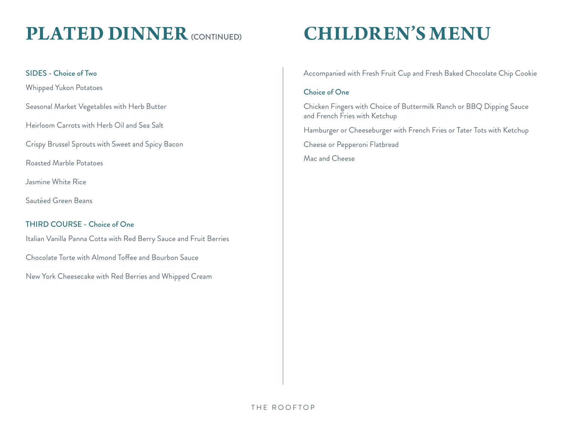### **PLATED DINNER** (CONTINUED)

#### SIDES - Choice of Two

Whipped Yukon Potatoes

Seasonal Market Vegetables with Herb Butter

Heirloom Carrots with Herb Oil and Sea Salt

Crispy Brussel Sprouts with Sweet and Spicy Bacon

Roasted Marble Potatoes

Jasmine White Rice

Sautéed Green Beans

#### THIRD COURSE - Choice of One

Italian Vanilla Panna Cotta with Red Berry Sauce and Fruit Berries

Chocolate Torte with Almond Toffee and Bourbon Sauce

New York Cheesecake with Red Berries and Whipped Cream

# **CHILDREN'S MENU**

Accompanied with Fresh Fruit Cup and Fresh Baked Chocolate Chip Cookie

#### Choice of One

Chicken Fingers with Choice of Buttermilk Ranch or BBQ Dipping Sauce and French Fries with Ketchup

Hamburger or Cheeseburger with French Fries or Tater Tots with Ketchup

Cheese or Pepperoni Flatbread

Mac and Cheese